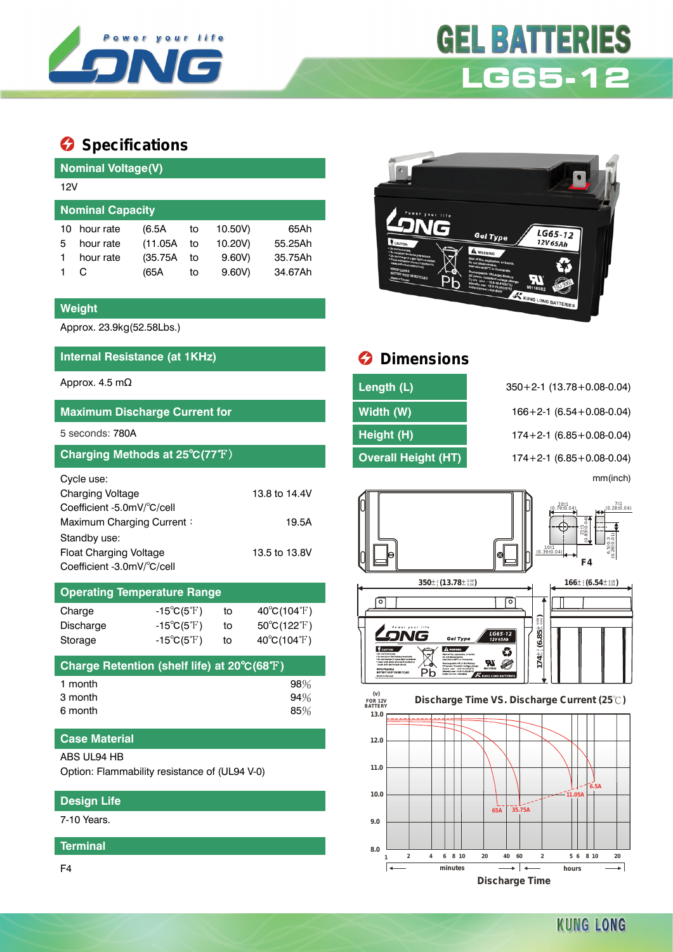

# **GEL BATTERIES LG65-12**

## **Specifications**

|                         | <b>Nominal Voltage(V)</b> |          |    |         |         |  |  |  |  |
|-------------------------|---------------------------|----------|----|---------|---------|--|--|--|--|
|                         | 12V                       |          |    |         |         |  |  |  |  |
| <b>Nominal Capacity</b> |                           |          |    |         |         |  |  |  |  |
| 10                      | hour rate                 | (6.5A)   | to | 10.50V) | 65Ah    |  |  |  |  |
| 5                       | hour rate                 | (11.05A) | to | 10.20V) | 55.25Ah |  |  |  |  |
|                         | hour rate                 | (35.75A) | to | 9.60V   | 35.75Ah |  |  |  |  |
|                         |                           | (65A     | to | 9.60V   | 34.67Ah |  |  |  |  |

#### **Weight**

Approx. 23.9kg(52.58Lbs.)

#### **Internal Resistance (at 1KHz) Dimensions**

#### **Maximum Discharge Current for Width (W)** 166+2-1 (6.54+0.08-0.04)

#### **Charging Methods at 25°C(77°F) Overall Height (HT)** 174+2-1 (6.85+0.08-0.04)

| Cycle use:                    |               |
|-------------------------------|---------------|
| Charging Voltage              | 13.8 to 14.4V |
| Coefficient -5.0mV/°C/cell    |               |
| Maximum Charging Current:     | 19.5A         |
| Standby use:                  |               |
| <b>Float Charging Voltage</b> | 13.5 to 13.8V |
| Coefficient -3.0mV/°C/cell    |               |

#### **Operating Temperature Range**

| Charge    | $-15^{\circ}C(5^{\circ}F)$ | to | $40^{\circ}C(104^{\circ}F)$ |
|-----------|----------------------------|----|-----------------------------|
| Discharge | $-15^{\circ}C(5^{\circ}F)$ | to | $50^{\circ}C(122^{\circ}F)$ |
| Storage   | $-15^{\circ}C(5^{\circ}F)$ | to | $40^{\circ}C(104^{\circ}F)$ |

| Charge Retention (shelf life) at 20°C(68°F)' |        |
|----------------------------------------------|--------|
| 1 month                                      | $98\%$ |
| 3 month                                      | 94%    |
| 6 month                                      | 85%    |

#### **Case Material**

#### ABS UL94 HB

Option: Flammability resistance of (UL94 V-0)

### **Design Life**

7-10 Years.

#### **Terminal**

F4



| Approx. 4.5 m $\Omega$               | Length (L)                 | $350+2-1$ (13.78 + 0.08-0.04)      |
|--------------------------------------|----------------------------|------------------------------------|
| <b>Maximum Discharge Current for</b> | Width (W)                  | $166 + 2 - 1$ (6.54 + 0.08 - 0.04) |
| 5 seconds: 780A                      | Height (H)                 | $174+2-1$ (6.85 + 0.08-0.04)       |
| Charging Methods at 25°C(77°F)       | <b>Overall Height (HT)</b> | $174+2-1$ (6.85 + 0.08-0.04)       |

5 seconds: 780A **Height (H)** 174+2-1 (6.85+0.08-0.04) mm(inch)





**Discharge Time**